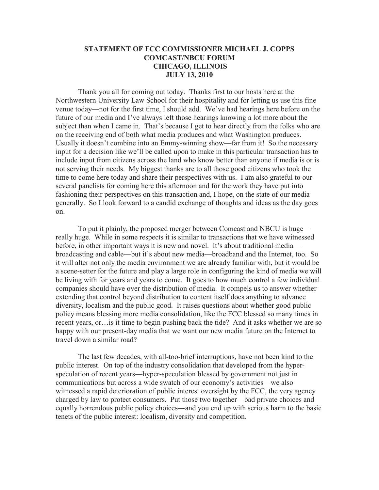## **STATEMENT OF FCC COMMISSIONER MICHAEL J. COPPS COMCAST/NBCU FORUM CHICAGO, ILLINOIS JULY 13, 2010**

Thank you all for coming out today. Thanks first to our hosts here at the Northwestern University Law School for their hospitality and for letting us use this fine venue today—not for the first time, I should add. We've had hearings here before on the future of our media and I've always left those hearings knowing a lot more about the subject than when I came in. That's because I get to hear directly from the folks who are on the receiving end of both what media produces and what Washington produces. Usually it doesn't combine into an Emmy-winning show—far from it! So the necessary input for a decision like we'll be called upon to make in this particular transaction has to include input from citizens across the land who know better than anyone if media is or is not serving their needs. My biggest thanks are to all those good citizens who took the time to come here today and share their perspectives with us. I am also grateful to our several panelists for coming here this afternoon and for the work they have put into fashioning their perspectives on this transaction and, I hope, on the state of our media generally. So I look forward to a candid exchange of thoughts and ideas as the day goes on.

To put it plainly, the proposed merger between Comcast and NBCU is huge really huge. While in some respects it is similar to transactions that we have witnessed before, in other important ways it is new and novel. It's about traditional media broadcasting and cable—but it's about new media—broadband and the Internet, too. So it will alter not only the media environment we are already familiar with, but it would be a scene-setter for the future and play a large role in configuring the kind of media we will be living with for years and years to come. It goes to how much control a few individual companies should have over the distribution of media. It compels us to answer whether extending that control beyond distribution to content itself does anything to advance diversity, localism and the public good. It raises questions about whether good public policy means blessing more media consolidation, like the FCC blessed so many times in recent years, or…is it time to begin pushing back the tide? And it asks whether we are so happy with our present-day media that we want our new media future on the Internet to travel down a similar road?

The last few decades, with all-too-brief interruptions, have not been kind to the public interest. On top of the industry consolidation that developed from the hyperspeculation of recent years—hyper-speculation blessed by government not just in communications but across a wide swatch of our economy's activities—we also witnessed a rapid deterioration of public interest oversight by the FCC, the very agency charged by law to protect consumers. Put those two together—bad private choices and equally horrendous public policy choices—and you end up with serious harm to the basic tenets of the public interest: localism, diversity and competition.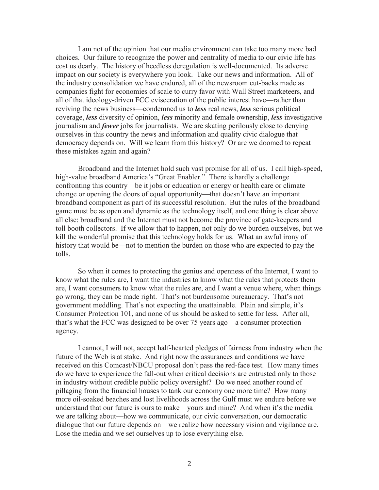I am not of the opinion that our media environment can take too many more bad choices. Our failure to recognize the power and centrality of media to our civic life has cost us dearly. The history of heedless deregulation is well-documented. Its adverse impact on our society is everywhere you look. Take our news and information. All of the industry consolidation we have endured, all of the newsroom cut-backs made as companies fight for economies of scale to curry favor with Wall Street marketeers, and all of that ideology-driven FCC evisceration of the public interest have—rather than reviving the news business—condemned us to *less* real news, *less* serious political coverage, *less* diversity of opinion, *less* minority and female ownership, *less* investigative journalism and *fewer* jobs for journalists. We are skating perilously close to denying ourselves in this country the news and information and quality civic dialogue that democracy depends on. Will we learn from this history? Or are we doomed to repeat these mistakes again and again?

Broadband and the Internet hold such vast promise for all of us. I call high-speed, high-value broadband America's "Great Enabler." There is hardly a challenge confronting this country—be it jobs or education or energy or health care or climate change or opening the doors of equal opportunity—that doesn't have an important broadband component as part of its successful resolution. But the rules of the broadband game must be as open and dynamic as the technology itself, and one thing is clear above all else: broadband and the Internet must not become the province of gate-keepers and toll booth collectors. If we allow that to happen, not only do we burden ourselves, but we kill the wonderful promise that this technology holds for us. What an awful irony of history that would be—not to mention the burden on those who are expected to pay the tolls.

So when it comes to protecting the genius and openness of the Internet, I want to know what the rules are, I want the industries to know what the rules that protects them are, I want consumers to know what the rules are, and I want a venue where, when things go wrong, they can be made right. That's not burdensome bureaucracy. That's not government meddling. That's not expecting the unattainable. Plain and simple, it's Consumer Protection 101, and none of us should be asked to settle for less. After all, that's what the FCC was designed to be over 75 years ago—a consumer protection agency.

I cannot, I will not, accept half-hearted pledges of fairness from industry when the future of the Web is at stake. And right now the assurances and conditions we have received on this Comcast/NBCU proposal don't pass the red-face test. How many times do we have to experience the fall-out when critical decisions are entrusted only to those in industry without credible public policy oversight? Do we need another round of pillaging from the financial houses to tank our economy one more time? How many more oil-soaked beaches and lost livelihoods across the Gulf must we endure before we understand that our future is ours to make—yours and mine? And when it's the media we are talking about—how we communicate, our civic conversation, our democratic dialogue that our future depends on—we realize how necessary vision and vigilance are. Lose the media and we set ourselves up to lose everything else.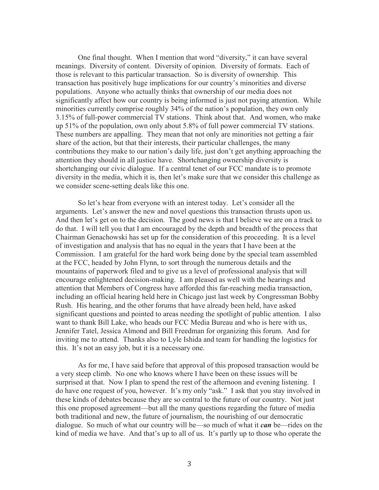One final thought. When I mention that word "diversity," it can have several meanings. Diversity of content. Diversity of opinion. Diversity of formats. Each of those is relevant to this particular transaction. So is diversity of ownership. This transaction has positively huge implications for our country's minorities and diverse populations. Anyone who actually thinks that ownership of our media does not significantly affect how our country is being informed is just not paying attention. While minorities currently comprise roughly 34% of the nation's population, they own only 3.15% of full-power commercial TV stations. Think about that. And women, who make up 51% of the population, own only about 5.8% of full power commercial TV stations. These numbers are appalling. They mean that not only are minorities not getting a fair share of the action, but that their interests, their particular challenges, the many contributions they make to our nation's daily life, just don't get anything approaching the attention they should in all justice have. Shortchanging ownership diversity is shortchanging our civic dialogue. If a central tenet of our FCC mandate is to promote diversity in the media, which it is, then let's make sure that we consider this challenge as we consider scene-setting deals like this one.

So let's hear from everyone with an interest today. Let's consider all the arguments. Let's answer the new and novel questions this transaction thrusts upon us. And then let's get on to the decision. The good news is that I believe we are on a track to do that. I will tell you that I am encouraged by the depth and breadth of the process that Chairman Genachowski has set up for the consideration of this proceeding. It is a level of investigation and analysis that has no equal in the years that I have been at the Commission. I am grateful for the hard work being done by the special team assembled at the FCC, headed by John Flynn, to sort through the numerous details and the mountains of paperwork filed and to give us a level of professional analysis that will encourage enlightened decision-making. I am pleased as well with the hearings and attention that Members of Congress have afforded this far-reaching media transaction, including an official hearing held here in Chicago just last week by Congressman Bobby Rush. His hearing, and the other forums that have already been held, have asked significant questions and pointed to areas needing the spotlight of public attention. I also want to thank Bill Lake, who heads our FCC Media Bureau and who is here with us, Jennifer Tatel, Jessica Almond and Bill Freedman for organizing this forum. And for inviting me to attend. Thanks also to Lyle Ishida and team for handling the logistics for this. It's not an easy job, but it is a necessary one.

As for me, I have said before that approval of this proposed transaction would be a very steep climb. No one who knows where I have been on these issues will be surprised at that. Now I plan to spend the rest of the afternoon and evening listening. I do have one request of you, however. It's my only "ask." I ask that you stay involved in these kinds of debates because they are so central to the future of our country. Not just this one proposed agreement—but all the many questions regarding the future of media both traditional and new, the future of journalism, the nourishing of our democratic dialogue. So much of what our country will be—so much of what it *can* be—rides on the kind of media we have. And that's up to all of us. It's partly up to those who operate the